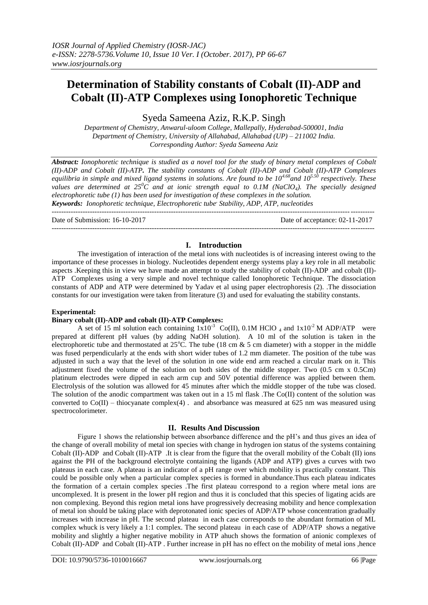# **Determination of Stability constants of Cobalt (II)-ADP and Cobalt (II)-ATP Complexes using Ionophoretic Technique**

Syeda Sameena Aziz, R.K.P. Singh

*Department of Chemistry, Anwarul-uloom College, Mallepally, Hyderabad-500001, India Department of Chemistry, University of Allahabad, Allahabad (UP) – 211002 India. Corresponding Author: Syeda Sameena Aziz* 

*Abstract: Ionophoretic technique is studied as a novel tool for the study of binary metal complexes of Cobalt (II)-ADP and Cobalt (II)-ATP. The stability constants of Cobalt (II)-ADP and Cobalt (II)-ATP Complexes equilibria in simple and mixed ligand systems in solutions. Are found to be 104.68and 105.50 respectively. These values are determined at 25<sup>0</sup>C and at ionic strength equal to 0.1M (NaClO4). The specially designed electrophoretic tube (1) has been used for investigation of these complexes in the solution. Keywords: Ionophoretic technique, Electrophoretic tube, Stability, ADP, ATP, nucleotides*

Date of Submission: 16-10-2017 Date of acceptance: 02-11-2017

# ---------------------------------------------------------------------------------------------------------------------------------------

## **I. Introduction**

The investigation of interaction of the metal ions with nucleotides is of increasing interest owing to the importance of these processes in biology. Nucleotides dependent energy systems play a key role in all metabolic aspects .Keeping this in view we have made an attempt to study the stability of cobalt (II)-ADP and cobalt (II)- ATP Complexes using a very simple and novel technique called Ionophoretic Technique. The dissociation constants of ADP and ATP were determined by Yadav et al using paper electrophoresis (2). .The dissociation constants for our investigation were taken from literature (3) and used for evaluating the stability constants.

#### **Experimental:**

## **Binary cobalt (II)-ADP and cobalt (II)-ATP Complexes:**

A set of 15 ml solution each containing  $1x10^{-3}$  Co(II), 0.1M HClO <sub>4</sub> and  $1x10^{-2}$  M ADP/ATP were prepared at different pH values (by adding NaOH solution). A 10 ml of the solution is taken in the electrophoretic tube and thermostated at  $25^{\circ}$ C. The tube (18 cm & 5 cm diameter) with a stopper in the middle was fused perpendicularly at the ends with short wider tubes of 1.2 mm diameter. The position of the tube was adjusted in such a way that the level of the solution in one wide end arm reached a circular mark on it. This adjustment fixed the volume of the solution on both sides of the middle stopper. Two (0.5 cm x 0.5Cm) platinum electrodes were dipped in each arm cup and 50V potential difference was applied between them. Electrolysis of the solution was allowed for 45 minutes after which the middle stopper of the tube was closed. The solution of the anodic compartment was taken out in a 15 ml flask .The Co(II) content of the solution was converted to Co(II) – thiocyanate complex(4) . and absorbance was measured at 625 nm was measured using spectrocolorimeter.

# **II. Results And Discussion**

Figure 1 shows the relationship between absorbance difference and the pH's and thus gives an idea of the change of overall mobility of metal ion species with change in hydrogen ion status of the systems containing Cobalt (II)-ADP and Cobalt (II)-ATP .It is clear from the figure that the overall mobility of the Cobalt (II) ions against the PH of the background electrolyte containing the ligands (ADP and ATP) gives a curves with two plateaus in each case. A plateau is an indicator of a pH range over which mobility is practically constant. This could be possible only when a particular complex species is formed in abundance.Thus each plateau indicates the formation of a certain complex species .The first plateau correspond to a region where metal ions are uncomplexed. It is present in the lower pH region and thus it is concluded that this species of ligating acids are non complexing. Beyond this region metal ions have progressively decreasing mobility and hence complexation of metal ion should be taking place with deprotonated ionic species of ADP/ATP whose concentration gradually increases with increase in pH. The second plateau in each case corresponds to the abundant formation of ML complex whuck is very likely a 1:1 complex. The second plateau in each case of ADP/ATP shows a negative mobility and slightly a higher negative mobility in ATP ahuch shows the formation of anionic complexes of Cobalt (II)-ADP and Cobalt (II)-ATP . Further increase in pH has no effect on the mobility of metal ions ,hence